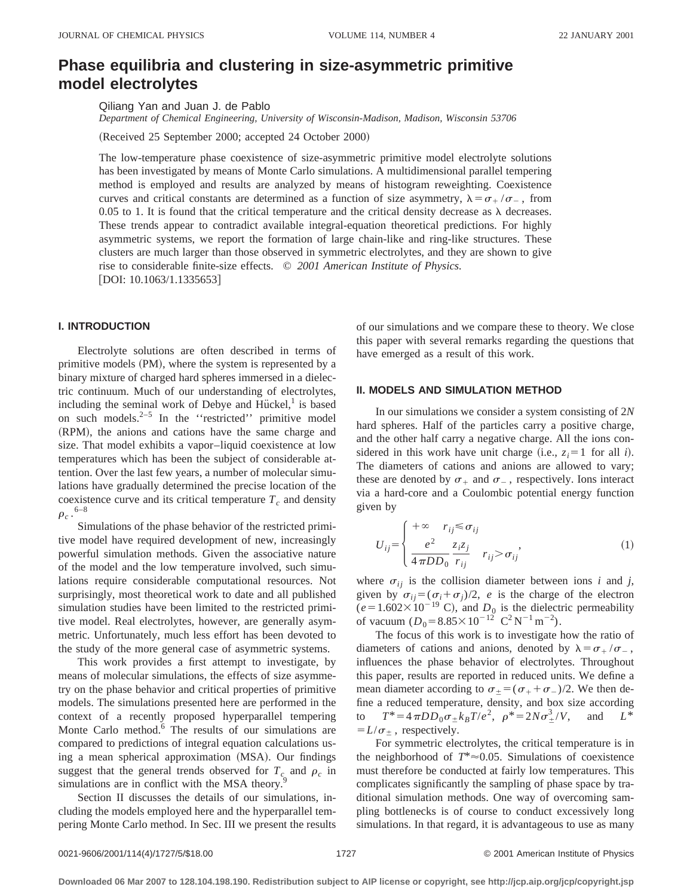# **Phase equilibria and clustering in size-asymmetric primitive model electrolytes**

Qiliang Yan and Juan J. de Pablo

*Department of Chemical Engineering, University of Wisconsin-Madison, Madison, Wisconsin 53706*

(Received 25 September 2000; accepted 24 October 2000)

The low-temperature phase coexistence of size-asymmetric primitive model electrolyte solutions has been investigated by means of Monte Carlo simulations. A multidimensional parallel tempering method is employed and results are analyzed by means of histogram reweighting. Coexistence curves and critical constants are determined as a function of size asymmetry,  $\lambda = \sigma_+ / \sigma_-$ , from 0.05 to 1. It is found that the critical temperature and the critical density decrease as  $\lambda$  decreases. These trends appear to contradict available integral-equation theoretical predictions. For highly asymmetric systems, we report the formation of large chain-like and ring-like structures. These clusters are much larger than those observed in symmetric electrolytes, and they are shown to give rise to considerable finite-size effects. © *2001 American Institute of Physics.*  $[DOI: 10.1063/1.1335653]$ 

## **I. INTRODUCTION**

Electrolyte solutions are often described in terms of primitive models (PM), where the system is represented by a binary mixture of charged hard spheres immersed in a dielectric continuum. Much of our understanding of electrolytes, including the seminal work of Debye and Hückel, $<sup>1</sup>$  is based</sup> on such models. $2-5$  In the "restricted" primitive model (RPM), the anions and cations have the same charge and size. That model exhibits a vapor–liquid coexistence at low temperatures which has been the subject of considerable attention. Over the last few years, a number of molecular simulations have gradually determined the precise location of the coexistence curve and its critical temperature  $T_c$  and density  $\rho_c$  .  $^{6-8}$ 

Simulations of the phase behavior of the restricted primitive model have required development of new, increasingly powerful simulation methods. Given the associative nature of the model and the low temperature involved, such simulations require considerable computational resources. Not surprisingly, most theoretical work to date and all published simulation studies have been limited to the restricted primitive model. Real electrolytes, however, are generally asymmetric. Unfortunately, much less effort has been devoted to the study of the more general case of asymmetric systems.

This work provides a first attempt to investigate, by means of molecular simulations, the effects of size asymmetry on the phase behavior and critical properties of primitive models. The simulations presented here are performed in the context of a recently proposed hyperparallel tempering Monte Carlo method. $6$  The results of our simulations are compared to predictions of integral equation calculations using a mean spherical approximation (MSA). Our findings suggest that the general trends observed for  $T_c$  and  $\rho_c$  in simulations are in conflict with the MSA theory. $\frac{5}{3}$ 

Section II discusses the details of our simulations, including the models employed here and the hyperparallel tempering Monte Carlo method. In Sec. III we present the results of our simulations and we compare these to theory. We close this paper with several remarks regarding the questions that have emerged as a result of this work.

### **II. MODELS AND SIMULATION METHOD**

In our simulations we consider a system consisting of 2*N* hard spheres. Half of the particles carry a positive charge, and the other half carry a negative charge. All the ions considered in this work have unit charge (i.e.,  $z_i=1$  for all *i*). The diameters of cations and anions are allowed to vary; these are denoted by  $\sigma_+$  and  $\sigma_-$ , respectively. Ions interact via a hard-core and a Coulombic potential energy function given by

$$
U_{ij} = \begin{cases} +\infty & r_{ij} \leq \sigma_{ij} \\ \frac{e^2}{4\pi DD_0} \frac{z_i z_j}{r_{ij}} & r_{ij} > \sigma_{ij} \end{cases}
$$
 (1)

where  $\sigma_{ij}$  is the collision diameter between ions *i* and *j*, given by  $\sigma_{ij} = (\sigma_i + \sigma_j)/2$ , *e* is the charge of the electron  $(e=1.602\times10^{-19} \text{ C})$ , and  $D_0$  is the dielectric permeability of vacuum  $(D_0 = 8.85 \times 10^{-12} \text{ C}^2 \text{N}^{-1} \text{m}^{-2})$ .

The focus of this work is to investigate how the ratio of diameters of cations and anions, denoted by  $\lambda = \sigma_+ / \sigma_-$ , influences the phase behavior of electrolytes. Throughout this paper, results are reported in reduced units. We define a mean diameter according to  $\sigma_{\pm} = (\sigma_{+} + \sigma_{-})/2$ . We then define a reduced temperature, density, and box size according to  $T^* = 4 \pi D D_0 \sigma_{\pm} k_B T / e^2$ ,  $\rho^* = 2N \sigma_{\pm}^3 / V$ , and  $L^*$  $= L/\sigma_{\pm}$ , respectively.

For symmetric electrolytes, the critical temperature is in the neighborhood of  $T^* \approx 0.05$ . Simulations of coexistence must therefore be conducted at fairly low temperatures. This complicates significantly the sampling of phase space by traditional simulation methods. One way of overcoming sampling bottlenecks is of course to conduct excessively long simulations. In that regard, it is advantageous to use as many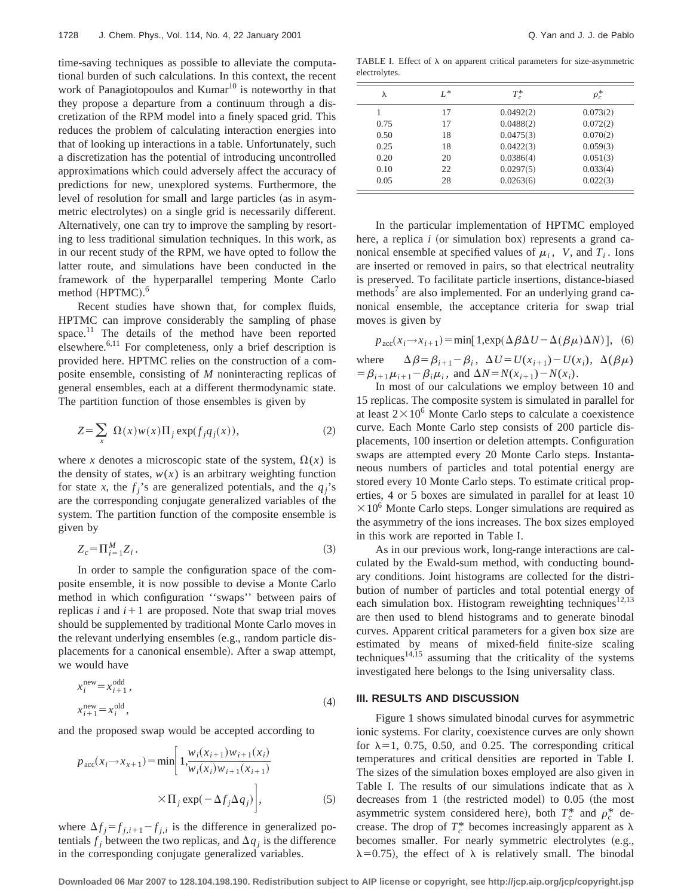time-saving techniques as possible to alleviate the computational burden of such calculations. In this context, the recent work of Panagiotopoulos and Kumar<sup>10</sup> is noteworthy in that they propose a departure from a continuum through a discretization of the RPM model into a finely spaced grid. This reduces the problem of calculating interaction energies into that of looking up interactions in a table. Unfortunately, such a discretization has the potential of introducing uncontrolled approximations which could adversely affect the accuracy of predictions for new, unexplored systems. Furthermore, the level of resolution for small and large particles (as in asymmetric electrolytes) on a single grid is necessarily different. Alternatively, one can try to improve the sampling by resorting to less traditional simulation techniques. In this work, as in our recent study of the RPM, we have opted to follow the latter route, and simulations have been conducted in the framework of the hyperparallel tempering Monte Carlo method  $(HPTMC).$ <sup>6</sup>

Recent studies have shown that, for complex fluids, HPTMC can improve considerably the sampling of phase space.<sup>11</sup> The details of the method have been reported elsewhere.<sup>6,11</sup> For completeness, only a brief description is provided here. HPTMC relies on the construction of a composite ensemble, consisting of *M* noninteracting replicas of general ensembles, each at a different thermodynamic state. The partition function of those ensembles is given by

$$
Z = \sum_{x} \Omega(x) w(x) \Pi_j \exp(f_j q_j(x)), \qquad (2)
$$

where *x* denotes a microscopic state of the system,  $\Omega(x)$  is the density of states,  $w(x)$  is an arbitrary weighting function for state *x*, the  $f_i$ 's are generalized potentials, and the  $q_i$ 's are the corresponding conjugate generalized variables of the system. The partition function of the composite ensemble is given by

$$
Z_c = \Pi_{i=1}^M Z_i. \tag{3}
$$

In order to sample the configuration space of the composite ensemble, it is now possible to devise a Monte Carlo method in which configuration ''swaps'' between pairs of replicas  $i$  and  $i+1$  are proposed. Note that swap trial moves should be supplemented by traditional Monte Carlo moves in the relevant underlying ensembles (e.g., random particle displacements for a canonical ensemble). After a swap attempt, we would have

$$
x_i^{\text{new}} = x_{i+1}^{\text{odd}},
$$
  
\n
$$
x_{i+1}^{\text{new}} = x_i^{\text{old}},
$$
\n(4)

and the proposed swap would be accepted according to

$$
p_{\text{acc}}(x_i \to x_{x+1}) = \min\left[1, \frac{w_i(x_{i+1})w_{i+1}(x_i)}{w_i(x_i)w_{i+1}(x_{i+1})}\right]
$$

$$
\times \Pi_j \exp(-\Delta f_j \Delta q_j)\bigg],
$$
(5)

where  $\Delta f_j = f_{j,i+1} - f_{j,i}$  is the difference in generalized potentials  $f_i$  between the two replicas, and  $\Delta q_i$  is the difference in the corresponding conjugate generalized variables.

TABLE I. Effect of  $\lambda$  on apparent critical parameters for size-asymmetric electrolytes.

| λ    | $L^*$ | $T_c^*$   | $\rho_c^*$ |
|------|-------|-----------|------------|
|      | 17    | 0.0492(2) | 0.073(2)   |
| 0.75 | 17    | 0.0488(2) | 0.072(2)   |
| 0.50 | 18    | 0.0475(3) | 0.070(2)   |
| 0.25 | 18    | 0.0422(3) | 0.059(3)   |
| 0.20 | 20    | 0.0386(4) | 0.051(3)   |
| 0.10 | 22    | 0.0297(5) | 0.033(4)   |
| 0.05 | 28    | 0.0263(6) | 0.022(3)   |

In the particular implementation of HPTMC employed here, a replica *i* (or simulation box) represents a grand canonical ensemble at specified values of  $\mu_i$ , *V*, and  $T_i$ . Ions are inserted or removed in pairs, so that electrical neutrality is preserved. To facilitate particle insertions, distance-biased methods<sup>7</sup> are also implemented. For an underlying grand canonical ensemble, the acceptance criteria for swap trial moves is given by

$$
p_{\rm acc}(x_i \to x_{i+1}) = \min[1, \exp(\Delta \beta \Delta U - \Delta(\beta \mu) \Delta N)], \quad (6)
$$

where  $\Delta \beta = \beta_{i+1} - \beta_i$ ,  $\Delta U = U(x_{i+1}) - U(x_i)$ ,  $\Delta(\beta \mu)$  $= \beta_{i+1}\mu_{i+1} - \beta_i\mu_i$ , and  $\Delta N = N(x_{i+1}) - N(x_i)$ .

In most of our calculations we employ between 10 and 15 replicas. The composite system is simulated in parallel for at least  $2 \times 10^6$  Monte Carlo steps to calculate a coexistence curve. Each Monte Carlo step consists of 200 particle displacements, 100 insertion or deletion attempts. Configuration swaps are attempted every 20 Monte Carlo steps. Instantaneous numbers of particles and total potential energy are stored every 10 Monte Carlo steps. To estimate critical properties, 4 or 5 boxes are simulated in parallel for at least 10  $\times 10^6$  Monte Carlo steps. Longer simulations are required as the asymmetry of the ions increases. The box sizes employed in this work are reported in Table I.

As in our previous work, long-range interactions are calculated by the Ewald-sum method, with conducting boundary conditions. Joint histograms are collected for the distribution of number of particles and total potential energy of each simulation box. Histogram reweighting techniques<sup>12,13</sup> are then used to blend histograms and to generate binodal curves. Apparent critical parameters for a given box size are estimated by means of mixed-field finite-size scaling techniques $14,15$  assuming that the criticality of the systems investigated here belongs to the Ising universality class.

#### **III. RESULTS AND DISCUSSION**

Figure 1 shows simulated binodal curves for asymmetric ionic systems. For clarity, coexistence curves are only shown for  $\lambda=1$ , 0.75, 0.50, and 0.25. The corresponding critical temperatures and critical densities are reported in Table I. The sizes of the simulation boxes employed are also given in Table I. The results of our simulations indicate that as  $\lambda$ decreases from 1 (the restricted model) to  $0.05$  (the most asymmetric system considered here), both  $T_c^*$  and  $\rho_c^*$  decrease. The drop of  $T_c^*$  becomes increasingly apparent as  $\lambda$ becomes smaller. For nearly symmetric electrolytes (e.g.,  $\lambda$ =0.75), the effect of  $\lambda$  is relatively small. The binodal

**Downloaded 06 Mar 2007 to 128.104.198.190. Redistribution subject to AIP license or copyright, see http://jcp.aip.org/jcp/copyright.jsp**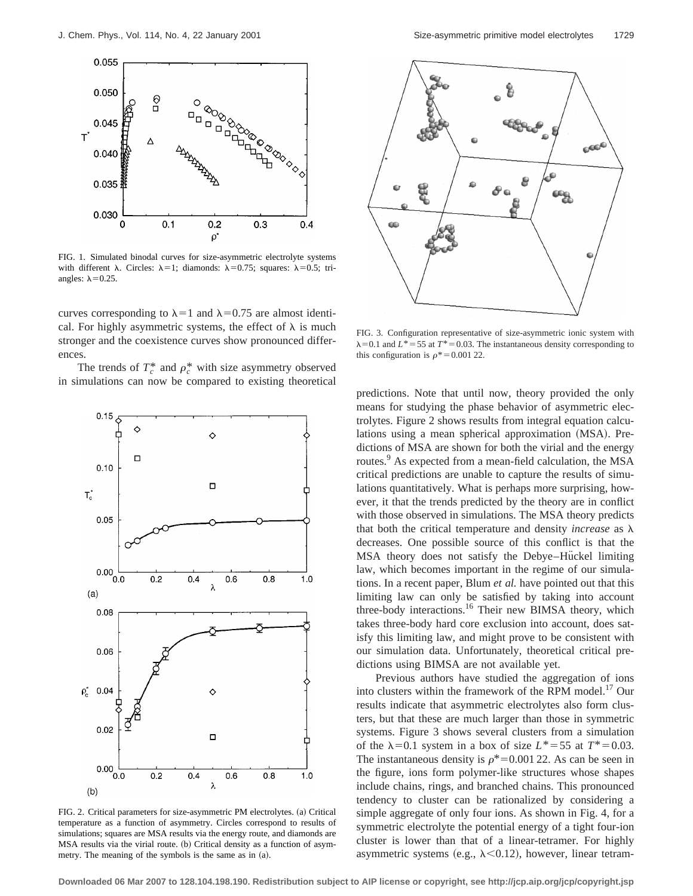

FIG. 1. Simulated binodal curves for size-asymmetric electrolyte systems with different  $\lambda$ . Circles:  $\lambda=1$ ; diamonds:  $\lambda=0.75$ ; squares:  $\lambda=0.5$ ; triangles:  $\lambda$ =0.25.

curves corresponding to  $\lambda=1$  and  $\lambda=0.75$  are almost identical. For highly asymmetric systems, the effect of  $\lambda$  is much stronger and the coexistence curves show pronounced differences.

The trends of  $T_c^*$  and  $\rho_c^*$  with size asymmetry observed in simulations can now be compared to existing theoretical



FIG. 2. Critical parameters for size-asymmetric PM electrolytes. (a) Critical temperature as a function of asymmetry. Circles correspond to results of simulations; squares are MSA results via the energy route, and diamonds are MSA results via the virial route. (b) Critical density as a function of asymmetry. The meaning of the symbols is the same as in  $(a)$ .



FIG. 3. Configuration representative of size-asymmetric ionic system with  $\lambda$ =0.1 and *L*\*=55 at *T*\*=0.03. The instantaneous density corresponding to this configuration is  $\rho^*$  = 0.001 22.

predictions. Note that until now, theory provided the only means for studying the phase behavior of asymmetric electrolytes. Figure 2 shows results from integral equation calculations using a mean spherical approximation (MSA). Predictions of MSA are shown for both the virial and the energy routes.<sup>9</sup> As expected from a mean-field calculation, the MSA critical predictions are unable to capture the results of simulations quantitatively. What is perhaps more surprising, however, it that the trends predicted by the theory are in conflict with those observed in simulations. The MSA theory predicts that both the critical temperature and density *increase* as  $\lambda$ decreases. One possible source of this conflict is that the MSA theory does not satisfy the Debye–Hückel limiting law, which becomes important in the regime of our simulations. In a recent paper, Blum *et al.* have pointed out that this limiting law can only be satisfied by taking into account three-body interactions.<sup>16</sup> Their new BIMSA theory, which takes three-body hard core exclusion into account, does satisfy this limiting law, and might prove to be consistent with our simulation data. Unfortunately, theoretical critical predictions using BIMSA are not available yet.

Previous authors have studied the aggregation of ions into clusters within the framework of the RPM model.<sup>17</sup> Our results indicate that asymmetric electrolytes also form clusters, but that these are much larger than those in symmetric systems. Figure 3 shows several clusters from a simulation of the  $\lambda=0.1$  system in a box of size  $L^* = 55$  at  $T^* = 0.03$ . The instantaneous density is  $\rho^*=0.001$  22. As can be seen in the figure, ions form polymer-like structures whose shapes include chains, rings, and branched chains. This pronounced tendency to cluster can be rationalized by considering a simple aggregate of only four ions. As shown in Fig. 4, for a symmetric electrolyte the potential energy of a tight four-ion cluster is lower than that of a linear-tetramer. For highly asymmetric systems (e.g.,  $\lambda$ <0.12), however, linear tetram-

**Downloaded 06 Mar 2007 to 128.104.198.190. Redistribution subject to AIP license or copyright, see http://jcp.aip.org/jcp/copyright.jsp**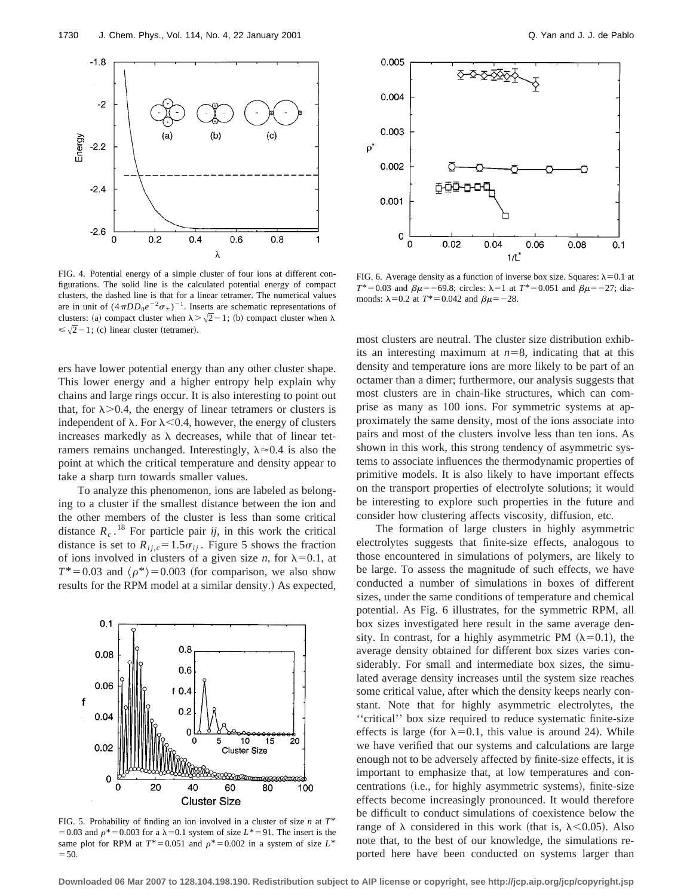

FIG. 4. Potential energy of a simple cluster of four ions at different configurations. The solid line is the calculated potential energy of compact clusters, the dashed line is that for a linear tetramer. The numerical values are in unit of  $(4\pi DD_0e^{-2}\sigma_{\pm})^{-1}$ . Inserts are schematic representations of clusters: (a) compact cluster when  $\lambda > \sqrt{2}-1$ ; (b) compact cluster when  $\lambda$  $\leq \sqrt{2}-1$ ; (c) linear cluster (tetramer).

ers have lower potential energy than any other cluster shape. This lower energy and a higher entropy help explain why chains and large rings occur. It is also interesting to point out that, for  $\lambda$  > 0.4, the energy of linear tetramers or clusters is independent of  $\lambda$ . For  $\lambda$ <0.4, however, the energy of clusters increases markedly as  $\lambda$  decreases, while that of linear tetramers remains unchanged. Interestingly,  $\lambda \approx 0.4$  is also the point at which the critical temperature and density appear to take a sharp turn towards smaller values.

To analyze this phenomenon, ions are labeled as belonging to a cluster if the smallest distance between the ion and the other members of the cluster is less than some critical distance  $R_c$ .<sup>18</sup> For particle pair *ij*, in this work the critical distance is set to  $R_{ij,c} = 1.5\sigma_{ij}$ . Figure 5 shows the fraction of ions involved in clusters of a given size *n*, for  $\lambda=0.1$ , at  $T^*$ =0.03 and  $\langle \rho^* \rangle$ =0.003 (for comparison, we also show results for the RPM model at a similar density.) As expected,



FIG. 5. Probability of finding an ion involved in a cluster of size *n* at *T*\* = 0.03 and  $\rho$ <sup>\*</sup> = 0.003 for a  $\lambda$ =0.1 system of size *L*<sup>\*</sup> = 91. The insert is the same plot for RPM at  $T^*=0.051$  and  $\rho^*=0.002$  in a system of size  $L^*$  $=50.$ 



FIG. 6. Average density as a function of inverse box size. Squares:  $\lambda$ =0.1 at  $T^* = 0.03$  and  $\beta \mu = -69.8$ ; circles:  $\lambda = 1$  at  $T^* = 0.051$  and  $\beta \mu = -27$ ; diamonds:  $\lambda$ =0.2 at *T*<sup>\*</sup>=0.042 and  $\beta \mu$ =-28.

most clusters are neutral. The cluster size distribution exhibits an interesting maximum at  $n=8$ , indicating that at this density and temperature ions are more likely to be part of an octamer than a dimer; furthermore, our analysis suggests that most clusters are in chain-like structures, which can comprise as many as 100 ions. For symmetric systems at approximately the same density, most of the ions associate into pairs and most of the clusters involve less than ten ions. As shown in this work, this strong tendency of asymmetric systems to associate influences the thermodynamic properties of primitive models. It is also likely to have important effects on the transport properties of electrolyte solutions; it would be interesting to explore such properties in the future and consider how clustering affects viscosity, diffusion, etc.

The formation of large clusters in highly asymmetric electrolytes suggests that finite-size effects, analogous to those encountered in simulations of polymers, are likely to be large. To assess the magnitude of such effects, we have conducted a number of simulations in boxes of different sizes, under the same conditions of temperature and chemical potential. As Fig. 6 illustrates, for the symmetric RPM, all box sizes investigated here result in the same average density. In contrast, for a highly asymmetric PM  $(\lambda=0.1)$ , the average density obtained for different box sizes varies considerably. For small and intermediate box sizes, the simulated average density increases until the system size reaches some critical value, after which the density keeps nearly constant. Note that for highly asymmetric electrolytes, the ''critical'' box size required to reduce systematic finite-size effects is large (for  $\lambda=0.1$ , this value is around 24). While we have verified that our systems and calculations are large enough not to be adversely affected by finite-size effects, it is important to emphasize that, at low temperatures and concentrations (i.e., for highly asymmetric systems), finite-size effects become increasingly pronounced. It would therefore be difficult to conduct simulations of coexistence below the range of  $\lambda$  considered in this work (that is,  $\lambda$ <0.05). Also note that, to the best of our knowledge, the simulations reported here have been conducted on systems larger than

**Downloaded 06 Mar 2007 to 128.104.198.190. Redistribution subject to AIP license or copyright, see http://jcp.aip.org/jcp/copyright.jsp**